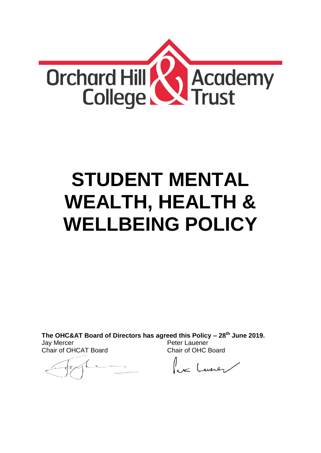

# **STUDENT MENTAL WEALTH, HEALTH & WELLBEING POLICY**

**The OHC&AT Board of Directors has agreed this Policy – 28 th June 2019.**

Jay Mercer Chair of OHCAT Board

Peter Lauener Chair of OHC Board

lex Lawren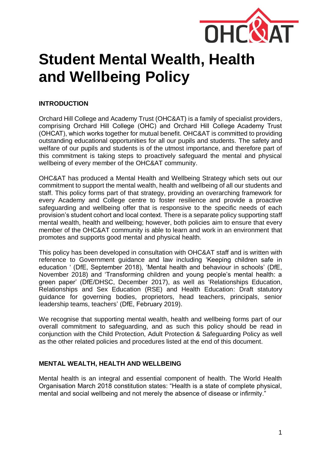

# **Student Mental Wealth, Health and Wellbeing Policy**

# **INTRODUCTION**

Orchard Hill College and Academy Trust (OHC&AT) is a family of specialist providers, comprising Orchard Hill College (OHC) and Orchard Hill College Academy Trust (OHCAT), which works together for mutual benefit. OHC&AT is committed to providing outstanding educational opportunities for all our pupils and students. The safety and welfare of our pupils and students is of the utmost importance, and therefore part of this commitment is taking steps to proactively safeguard the mental and physical wellbeing of every member of the OHC&AT community.

OHC&AT has produced a Mental Health and Wellbeing Strategy which sets out our commitment to support the mental wealth, health and wellbeing of all our students and staff. This policy forms part of that strategy, providing an overarching framework for every Academy and College centre to foster resilience and provide a proactive safeguarding and wellbeing offer that is responsive to the specific needs of each provision's student cohort and local context. There is a separate policy supporting staff mental wealth, health and wellbeing; however, both policies aim to ensure that every member of the OHC&AT community is able to learn and work in an environment that promotes and supports good mental and physical health.

This policy has been developed in consultation with OHC&AT staff and is written with reference to Government guidance and law including 'Keeping children safe in education ' (DfE, September 2018), 'Mental health and behaviour in schools' (DfE, November 2018) and 'Transforming children and young people's mental health: a green paper' (DfE/DHSC, December 2017), as well as 'Relationships Education, Relationships and Sex Education (RSE) and Health Education: Draft statutory guidance for governing bodies, proprietors, head teachers, principals, senior leadership teams, teachers' (DfE, February 2019).

We recognise that supporting mental wealth, health and wellbeing forms part of our overall commitment to safeguarding, and as such this policy should be read in conjunction with the Child Protection, Adult Protection & Safeguarding Policy as well as the other related policies and procedures listed at the end of this document.

#### **MENTAL WEALTH, HEALTH AND WELLBEING**

Mental health is an integral and essential component of health. The World Health Organisation March 2018 constitution states: "Health is a state of complete physical, mental and social wellbeing and not merely the absence of disease or infirmity."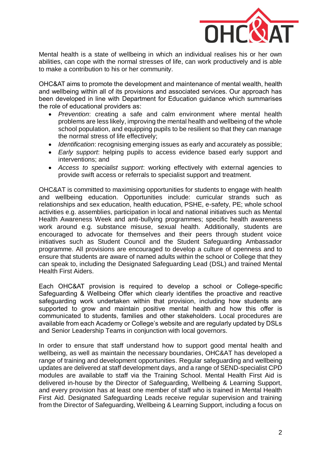

Mental health is a state of wellbeing in which an individual realises his or her own abilities, can cope with the normal stresses of life, can work productively and is able to make a contribution to his or her community.

OHC&AT aims to promote the development and maintenance of mental wealth, health and wellbeing within all of its provisions and associated services. Our approach has been developed in line with Department for Education guidance which summarises the role of educational providers as:

- *Prevention*: creating a safe and calm environment where mental health problems are less likely, improving the mental health and wellbeing of the whole school population, and equipping pupils to be resilient so that they can manage the normal stress of life effectively;
- *Identification*: recognising emerging issues as early and accurately as possible;
- *Early support*: helping pupils to access evidence based early support and interventions; and
- *Access to specialist support*: working effectively with external agencies to provide swift access or referrals to specialist support and treatment.

OHC&AT is committed to maximising opportunities for students to engage with health and wellbeing education. Opportunities include: curricular strands such as relationships and sex education, health education, PSHE, e-safety, PE; whole school activities e.g. assemblies, participation in local and national initiatives such as Mental Health Awareness Week and anti-bullying programmes; specific health awareness work around e.g. substance misuse, sexual health. Additionally, students are encouraged to advocate for themselves and their peers through student voice initiatives such as Student Council and the Student Safeguarding Ambassador programme. All provisions are encouraged to develop a culture of openness and to ensure that students are aware of named adults within the school or College that they can speak to, including the Designated Safeguarding Lead (DSL) and trained Mental Health First Aiders.

Each OHC&AT provision is required to develop a school or College-specific Safeguarding & Wellbeing Offer which clearly identifies the proactive and reactive safeguarding work undertaken within that provision, including how students are supported to grow and maintain positive mental health and how this offer is communicated to students, families and other stakeholders. Local procedures are available from each Academy or College's website and are regularly updated by DSLs and Senior Leadership Teams in conjunction with local governors.

In order to ensure that staff understand how to support good mental health and wellbeing, as well as maintain the necessary boundaries, OHC&AT has developed a range of training and development opportunities. Regular safeguarding and wellbeing updates are delivered at staff development days, and a range of SEND-specialist CPD modules are available to staff via the Training School. Mental Health First Aid is delivered in-house by the Director of Safeguarding, Wellbeing & Learning Support, and every provision has at least one member of staff who is trained in Mental Health First Aid. Designated Safeguarding Leads receive regular supervision and training from the Director of Safeguarding, Wellbeing & Learning Support, including a focus on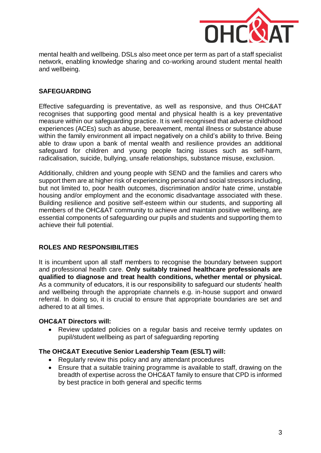

mental health and wellbeing. DSLs also meet once per term as part of a staff specialist network, enabling knowledge sharing and co-working around student mental health and wellbeing.

# **SAFEGUARDING**

Effective safeguarding is preventative, as well as responsive, and thus OHC&AT recognises that supporting good mental and physical health is a key preventative measure within our safeguarding practice. It is well recognised that adverse childhood experiences (ACEs) such as abuse, bereavement, mental illness or substance abuse within the family environment all impact negatively on a child's ability to thrive. Being able to draw upon a bank of mental wealth and resilience provides an additional safeguard for children and young people facing issues such as self-harm, radicalisation, suicide, bullying, unsafe relationships, substance misuse, exclusion.

Additionally, children and young people with SEND and the families and carers who support them are at higher risk of experiencing personal and social stressors including, but not limited to, poor health outcomes, discrimination and/or hate crime, unstable housing and/or employment and the economic disadvantage associated with these. Building resilience and positive self-esteem within our students, and supporting all members of the OHC&AT community to achieve and maintain positive wellbeing, are essential components of safeguarding our pupils and students and supporting them to achieve their full potential.

# **ROLES AND RESPONSIBILITIES**

It is incumbent upon all staff members to recognise the boundary between support and professional health care. **Only suitably trained healthcare professionals are qualified to diagnose and treat health conditions, whether mental or physical.** As a community of educators, it is our responsibility to safeguard our students' health and wellbeing through the appropriate channels e.g. in-house support and onward referral. In doing so, it is crucial to ensure that appropriate boundaries are set and adhered to at all times.

# **OHC&AT Directors will:**

 Review updated policies on a regular basis and receive termly updates on pupil/student wellbeing as part of safeguarding reporting

# **The OHC&AT Executive Senior Leadership Team (ESLT) will:**

- Regularly review this policy and any attendant procedures
- Ensure that a suitable training programme is available to staff, drawing on the breadth of expertise across the OHC&AT family to ensure that CPD is informed by best practice in both general and specific terms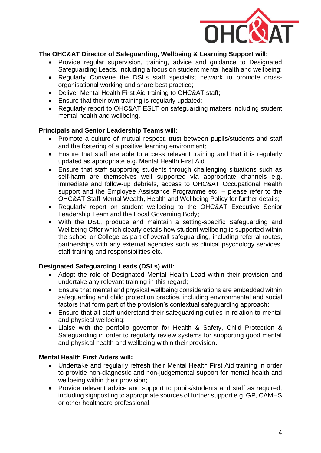

# **The OHC&AT Director of Safeguarding, Wellbeing & Learning Support will:**

- Provide regular supervision, training, advice and guidance to Designated Safeguarding Leads, including a focus on student mental health and wellbeing;
- Regularly Convene the DSLs staff specialist network to promote crossorganisational working and share best practice;
- Deliver Mental Health First Aid training to OHC&AT staff;
- Ensure that their own training is regularly updated;
- Regularly report to OHC&AT ESLT on safeguarding matters including student mental health and wellbeing.

#### **Principals and Senior Leadership Teams will:**

- Promote a culture of mutual respect, trust between pupils/students and staff and the fostering of a positive learning environment;
- Ensure that staff are able to access relevant training and that it is regularly updated as appropriate e.g. Mental Health First Aid
- Ensure that staff supporting students through challenging situations such as self-harm are themselves well supported via appropriate channels e.g. immediate and follow-up debriefs, access to OHC&AT Occupational Health support and the Employee Assistance Programme etc. – please refer to the OHC&AT Staff Mental Wealth, Health and Wellbeing Policy for further details;
- Regularly report on student wellbeing to the OHC&AT Executive Senior Leadership Team and the Local Governing Body;
- With the DSL, produce and maintain a setting-specific Safeguarding and Wellbeing Offer which clearly details how student wellbeing is supported within the school or College as part of overall safeguarding, including referral routes, partnerships with any external agencies such as clinical psychology services, staff training and responsibilities etc.

# **Designated Safeguarding Leads (DSLs) will:**

- Adopt the role of Designated Mental Health Lead within their provision and undertake any relevant training in this regard;
- Ensure that mental and physical wellbeing considerations are embedded within safeguarding and child protection practice, including environmental and social factors that form part of the provision's contextual safeguarding approach;
- Ensure that all staff understand their safeguarding duties in relation to mental and physical wellbeing;
- Liaise with the portfolio governor for Health & Safety, Child Protection & Safeguarding in order to regularly review systems for supporting good mental and physical health and wellbeing within their provision.

# **Mental Health First Aiders will:**

- Undertake and regularly refresh their Mental Health First Aid training in order to provide non-diagnostic and non-judgemental support for mental health and wellbeing within their provision;
- Provide relevant advice and support to pupils/students and staff as required, including signposting to appropriate sources of further support e.g. GP, CAMHS or other healthcare professional.